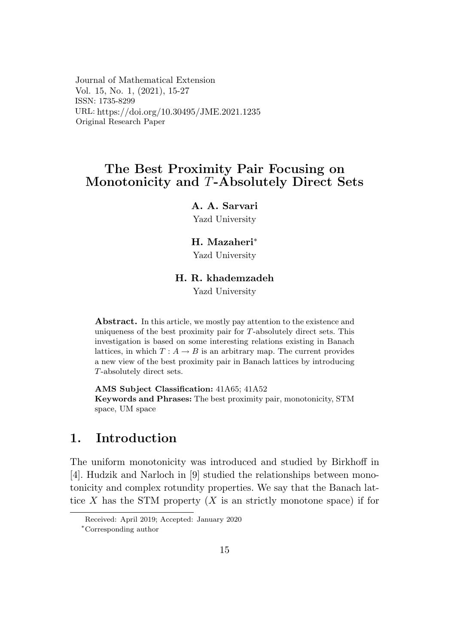Journal of Mathematical Extension Vol. 15, No. 1, (2021), 15-27 ISSN: 1735-8299 URL: https://doi.org/10.30495/JME.2021.1235 Original Research Paper

# The Best Proximity Pair Focusing on Monotonicity and T-Absolutely Direct Sets

### A. A. Sarvari

Yazd University

### H. Mazaheri\*

Yazd University

### H. R. khademzadeh

Yazd University

**Abstract.** In this article, we mostly pay attention to the existence and uniqueness of the best proximity pair for  $T$ -absolutely direct sets. This investigation is based on some interesting relations existing in Banach lattices, in which  $T: A \rightarrow B$  is an arbitrary map. The current provides a new view of the best proximity pair in Banach lattices by introducing  $T$ -absolutely direct sets.

AMS Subject Classification: 41A65; 41A52 Keywords and Phrases: The best proximity pair, monotonicity, STM space, UM space

#### $\mathbf 1$ . Introduction

The uniform monotonicity was introduced and studied by Birkhoff in [4]. Hudzik and Narloch in [9] studied the relationships between monotonicity and complex rotundity properties. We say that the Banach lattice X has the STM property  $(X$  is an strictly monotone space) if for

Received: April 2019; Accepted: January 2020

<sup>\*</sup>Corresponding author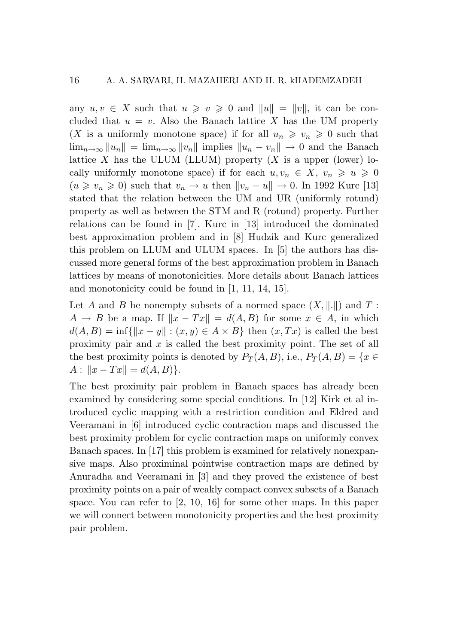any  $u, v \in X$  such that  $u \geq v \geq 0$  and  $||u|| = ||v||$ , it can be concluded that  $u = v$ . Also the Banach lattice X has the UM property (*X* is a uniformly monotone space) if for all  $u_n \geq v_n \geq 0$  such that  $\lim_{n\to\infty}$   $||u_n|| = \lim_{n\to\infty}$   $||v_n||$  implies  $||u_n - v_n|| \to 0$  and the Banach lattice *X* has the ULUM (LLUM) property  $(X$  is a upper (lower) locally uniformly monotone space) if for each  $u, v_n \in X$ ,  $v_n \geq u \geq 0$  $(u \ge v_n \ge 0)$  such that  $v_n \to u$  then  $||v_n - u|| \to 0$ . In 1992 Kurc [13] stated that the relation between the UM and UR (uniformly rotund) property as well as between the STM and R (rotund) property. Further relations can be found in [7]. Kurc in [13] introduced the dominated best approximation problem and in [8] Hudzik and Kurc generalized this problem on LLUM and ULUM spaces. In [5] the authors has discussed more general forms of the best approximation problem in Banach lattices by means of monotonicities. More details about Banach lattices and monotonicity could be found in [1, 11, 14, 15].

Let *A* and *B* be nonempty subsets of a normed space  $(X, \|\cdot\|)$  and *T* :  $A \rightarrow B$  be a map. If  $||x - Tx|| = d(A, B)$  for some  $x \in A$ , in which  $d(A, B) = \inf \{ ||x - y|| : (x, y) \in A \times B \}$  then  $(x, Tx)$  is called the best proximity pair and *x* is called the best proximity point. The set of all the best proximity points is denoted by  $P_T(A, B)$ , i.e.,  $P_T(A, B) = \{x \in$  $A:$   $||x - Tx|| = d(A, B)$ .

The best proximity pair problem in Banach spaces has already been examined by considering some special conditions. In [12] Kirk et al introduced cyclic mapping with a restriction condition and Eldred and Veeramani in [6] introduced cyclic contraction maps and discussed the best proximity problem for cyclic contraction maps on uniformly convex Banach spaces. In [17] this problem is examined for relatively nonexpansive maps. Also proximinal pointwise contraction maps are defined by Anuradha and Veeramani in [3] and they proved the existence of best proximity points on a pair of weakly compact convex subsets of a Banach space. You can refer to [2, 10, 16] for some other maps. In this paper we will connect between monotonicity properties and the best proximity pair problem.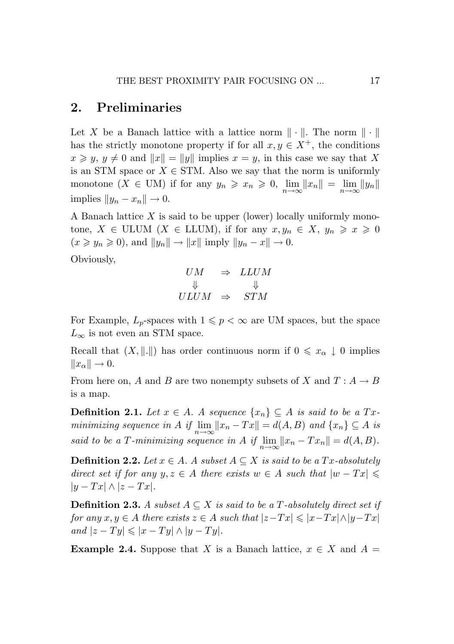# 2. Preliminaries

Let X be a Banach lattice with a lattice norm  $\|\cdot\|$ . The norm  $\|\cdot\|$ has the strictly monotone property if for all  $x, y \in X^+$ , the conditions  $x \geq y, y \neq 0$  and  $||x|| = ||y||$  implies  $x = y$ , in this case we say that X is an STM space or  $X \in \text{STM}$ . Also we say that the norm is uniformly monotone  $(X \in UM)$  if for any  $y_n \ge x_n \ge 0$ ,  $\lim_{n \to \infty} ||x_n|| = \lim_{n \to \infty} ||y_n||$  $\text{implies } ||y_n - x_n|| \to 0.$ 

A Banach lattice *X* is said to be upper (lower) locally uniformly monotone,  $X \in \text{ULUM } (X \in \text{LLUM})$ , if for any  $x, y_n \in X$ ,  $y_n \geq x \geq 0$  $(x \geq y_n \geq 0)$ , and  $||y_n|| \to ||x||$  imply  $||y_n - x|| \to 0$ .

Obviously,

$$
UM \Rightarrow LLUM
$$
  

$$
\Downarrow \qquad \Downarrow
$$
  

$$
ULUM \Rightarrow STM
$$

For Example,  $L_p$ -spaces with  $1 \leqslant p < \infty$  are UM spaces, but the space  $L_{\infty}$  is not even an STM space.

Recall that  $(X, \|\cdot\|)$  has order continuous norm if  $0 \leq x_\alpha \downarrow 0$  implies  $||x_\alpha|| \to 0.$ 

From here on, *A* and *B* are two nonempty subsets of *X* and  $T: A \rightarrow B$ is a map.

**Definition 2.1.** *Let*  $x \in A$ *. A sequence*  $\{x_n\} ⊆ A$  *is said to be a*  $Tx$ *minimizing sequence in A if*  $\lim_{n \to \infty} ||x_n - Tx|| = d(A, B)$  *and*  $\{x_n\} \subseteq A$  *is said to be a T-minimizing sequence in A if*  $\lim_{n\to\infty}$   $||x_n - Tx_n|| = d(A, B)$ .

**Definition 2.2.** *Let*  $x \in A$ *. A subset*  $A ⊆ X$  *is said to be a*  $Tx$ *-absolutely direct set if for any*  $y, z \in A$  *there exists*  $w \in A$  *such that*  $|w - Tx| \leq$ *|y − T x| ∧ |z − T x|.*

**Definition 2.3.** *A subset*  $A ⊆ X$  *is said to be a T-absolutely direct set if* for any  $x, y \in A$  there exists  $z \in A$  such that  $|z-Tx| \leq |x-Tx| \wedge |y-Tx|$  $|z - Ty| \leq |x - Ty| \wedge |y - Ty|.$ 

**Example 2.4.** Suppose that *X* is a Banach lattice,  $x \in X$  and  $A =$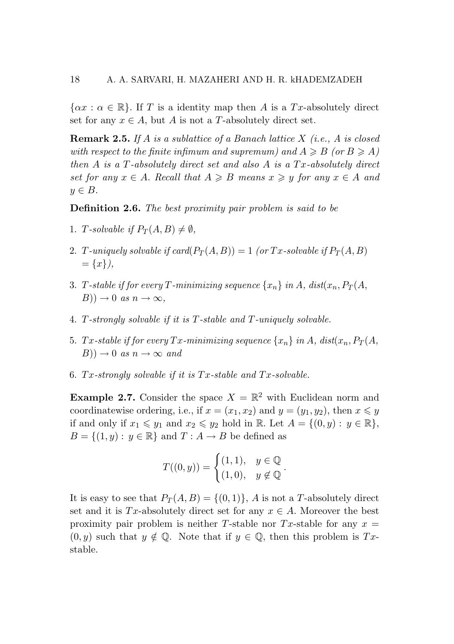$\{\alpha x : \alpha \in \mathbb{R}\}.$  If T is a identity map then A is a Tx-absolutely direct set for any  $x \in A$ , but A is not a T-absolutely direct set.

**Remark 2.5.** If A is a sublattice of a Banach lattice  $X$  (i.e., A is closed with respect to the finite infimum and supremum) and  $A \geq B$  (or  $B \geq A$ ) then  $A$  is a  $T$ -absolutely direct set and also  $A$  is a  $Tx$ -absolutely direct set for any  $x \in A$ . Recall that  $A \ge B$  means  $x \ge y$  for any  $x \in A$  and *y ∈ B. y ∈ B. y ∈ B.*

Definition 2.6. *The best proximity pair problem is said to be* Definition 2.6. *The best proximity pair problem is said to be* Definition 2.6. *The best proximity pair problem is said to be*

- 1. T-solvable if  $P_T(A, B) \neq \emptyset$ ,
- 2. T-uniquely solvable if  $card(P_T(A, B)) = 1$  (or Tx-solvable if  $P_T(A, B)$ ) = *{x}),* = *{x}),* = *{x}),*
- 3. T-stable if for every T-minimizing sequence  $\{x_n\}$  in A, dist $(x_n, P_T(A,$  $B$ ))  $\rightarrow$  0 *as*  $n \rightarrow \infty$ *,*
- 4. T-strongly solvable if it is  $T$ -stable and  $T$ -uniquely solvable.
- 5. Tx-stable if for every Tx-minimizing sequence  $\{x_n\}$  in A,  $dist(x_n, P_T(A,$  $(B)$ )  $\rightarrow$  0 *as*  $n \rightarrow \infty$  *and*
- 6.  $Tx$ -strongly solvable if it is  $Tx$ -stable and  $Tx$ -solvable.

**Example 2.7.** Consider the space  $X = \mathbb{R}^2$  with Euclidean norm and coordinatewise ordering, i.e., if  $x = (x_1, x_2)$  and  $y = (y_1, y_2)$ , then  $x \le y$ if and only if  $x_1 \leq y_1$  and  $x_2 \leq y_2$  hold in  $\mathbb{R}$ . Let  $A = \{(0, y) : y \in \mathbb{R}\},\$  $B=\{(1,y):\,y\in\mathbb{R}\}$  and  $T:A\rightarrow B$  be defined as

$$
T((0, y)) = \begin{cases} (1, 1), & y \in \mathbb{Q} \\ (1, 0), & y \notin \mathbb{Q} \end{cases}.
$$

It is easy to see that  $P_T(A, B) = \{(0, 1)\}, A$  is not a T-absolutely direct set and it is Tx-absolutely direct set for any  $x \in A$ . Moreover the best proximity pair problem is neither T-stable nor Tx-stable for any  $x =$  $(0, y)$  such that  $y \notin \mathbb{Q}$ . Note that if  $y \in \mathbb{Q}$ , then this problem is Txstable. stable. stable.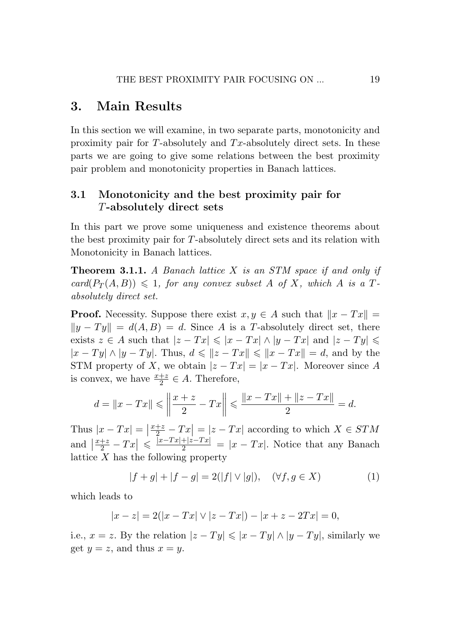## 3. Main Results

In this section we will examine, in two separate parts, monotonicity and proximity pair for *T*-absolutely and *T x*-absolutely direct sets. In these parts we are going to give some relations between the best proximity pair problem and monotonicity properties in Banach lattices.

### 3.1 Monotonicity and the best proximity pair for *T*-absolutely direct sets

In this part we prove some uniqueness and existence theorems about the best proximity pair for *T*-absolutely direct sets and its relation with Monotonicity in Banach lattices.

Theorem 3.1.1. *A Banach lattice X is an STM space if and only if*  $card(P_T(A, B)) \leq 1$ , for any convex subset A of X, which A is a T*absolutely direct set.*

**Proof.** Necessity. Suppose there exist  $x, y \in A$  such that  $||x - Tx|| =$  $||y - Ty|| = d(A, B) = d$ . Since *A* is a *T*-absolutely direct set, there exists  $z \in A$  such that  $|z - Tx| \leq |x - Tx| \wedge |y - Tx|$  and  $|z - Ty| \leq$  $|x - Ty|$  ∧  $|y - Ty|$ . Thus,  $d \leq |z - Tx|$   $\leq |x - Tx| = d$ , and by the STM property of *X*, we obtain  $|z - Tx| = |x - Tx|$ . Moreover since *A* is convex, we have  $\frac{x+z}{2} \in A$ . Therefore,

$$
d = \|x - Tx\| \le \left\|\frac{x + z}{2} - Tx\right\| \le \frac{\|x - Tx\| + \|z - Tx\|}{2} = d.
$$

Thus  $|x - Tx| = \left|\frac{x+z}{2} - Tx\right| = |z - Tx|$  according to which  $X \in STM$ and  $\left|\frac{x+z}{2} - Tx\right| \leq \frac{|x-Tx|+|z-Tx|}{2} = |x-Tx|$ . Notice that any Banach lattice *X* has the following property

$$
|f + g| + |f - g| = 2(|f| \vee |g|), \quad (\forall f, g \in X)
$$
 (1)

which leads to

$$
|x - z| = 2(|x - Tx| \vee |z - Tx|) - |x + z - 2Tx| = 0,
$$

i.e.,  $x = z$ . By the relation  $|z - Ty| \leq |x - Ty| \wedge |y - Ty|$ , similarly we get  $y = z$ , and thus  $x = y$ .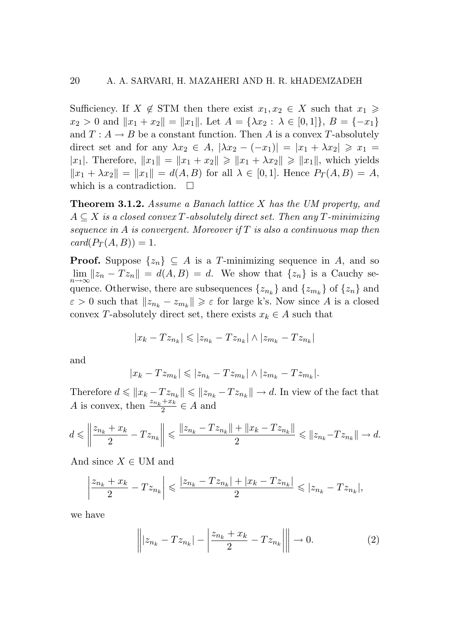Sufficiency. If  $X \notin \text{STM}$  then there exist  $x_1, x_2 \in X$  such that  $x_1 \geq$  $x_2 > 0$  and  $||x_1 + x_2|| = ||x_1||$ . Let  $A = \{\lambda x_2 : \lambda \in [0,1]\}, B = \{-x_1\}$ and  $T: A \to B$  be a constant function. Then A is a convex T-absolutely direct set and for any  $\lambda x_2 \in A$ ,  $|\lambda x_2 - (-x_1)| = |x_1 + \lambda x_2| \ge x_1 =$ |x<sub>1</sub>|. Therefore,  $||x_1|| = ||x_1 + x_2|| \ge ||x_1 + \lambda x_2|| \ge ||x_1||$ , which yields  $||x_1 + \lambda x_2|| = ||x_1|| = d(A, B)$  for all  $\lambda \in [0, 1]$ . Hence  $P_T(A, B) = A$ , which is a contradiction.  $\Box$ 

**Theorem 3.1.2.** Assume a Banach lattice X has the UM property, and  $A \subseteq X$  is a closed convex T-absolutely direct set. Then any T-minimizing<br>sequence in A is convergent. Moreover if T is also a continuous map then<br>card( $P_T(A, B)$ ) = 1. *sequence in A is convergent. Moreover if T is also a continuous map then sequence in A is convergent. Moreover if T is also a continuous map then*  $card(P_T(A, B)) = 1.$ 

**Proof.** Suppose  $\{z_n\} \subseteq A$  is a T-minimizing sequence in A, and so  $\lim_{n\to\infty} ||z_n - Tz_n|| = d(A, B) = d.$  We show that  $\{z_n\}$  is a Cauchy sequence. Otherwise, there are subsequences  $\{z_{n_k}\}\$  and  $\{z_{m_k}\}\$  of  $\{z_n\}$  and  $\varepsilon > 0$  such that  $||z_{n_k} - z_{m_k}|| \geq \varepsilon$  for large k's. Now since A is a closed convex *T*-absolutely direct set, there exists  $x_k \in A$  such that quence. Otherwise, there are subsequences  $\{z_{n_k}\}$  and  $\{z_{m_k}\}$  of  $\{z_n\}$  and  $\varepsilon > 0$  such that  $||z_{n_k} - z_{m_k}|| \ge \varepsilon$  for large k's. Now since A is a closed convex T-absolutely direct set, there exists  $x_k \in A$  such

$$
|x_k - T z_{n_k}| \leqslant |z_{n_k} - T z_{n_k}| \wedge |z_{m_k} - T z_{n_k}|
$$

and and and

$$
|x_k - T z_{m_k}| \leqslant |z_{n_k} - T z_{m_k}| \wedge |z_{m_k} - T z_{m_k}|.
$$

Therefore  $d \leq ||x_k - T z_{n_k}|| \leq ||z_{n_k} - T z_{n_k}|| \to d$ . In view of the fact that A is convex, then  $\frac{z_{n_k}+x_k}{2} \in A$  and

$$
d\leqslant \left\|\frac{z_{n_k}+x_k}{2}-Tz_{n_k}\right\|\leqslant \frac{\|z_{n_k}-Tz_{n_k}\|+\|x_k-Tz_{n_k}\|}{2}\leqslant\|z_{n_k}-Tz_{n_k}\|\rightarrow d.
$$

And since  $X \in \text{UM}$  and

$$
\left|\frac{z_{n_k} + x_k}{2} - T z_{n_k}\right| \leqslant \frac{|z_{n_k} - T z_{n_k}| + |x_k - T z_{n_k}|}{2} \leqslant |z_{n_k} - T z_{n_k}|,
$$

we have we have we have

$$
\left\| |z_{n_k} - T z_{n_k}| - \left| \frac{z_{n_k} + x_k}{2} - T z_{n_k} \right| \right\| \to 0.
$$
 (2)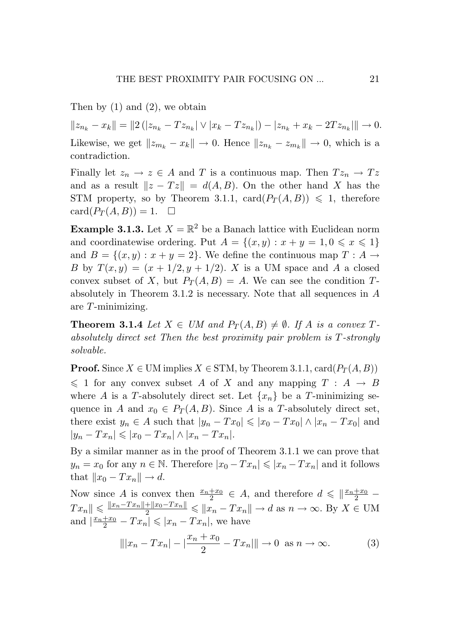Then by (1) and (2), we obtain Then by (1) and (2), we obtain Then by (1) and (2), we obtain

 $||z_{n_k} - x_k|| = ||2(|z_{n_k} - Tz_{n_k}| \vee |x_k - Tz_{n_k}|) - |z_{n_k} + x_k - 2Tz_{n_k}|| \rightarrow 0.$ Likewise, we get  $||z_{m_k} - x_k|| \to 0$ . Hence  $||z_{n_k} - z_{m_k}|| \to 0$ , which is a contradiction. contradiction. contradiction.

Finally let  $z_n \to z \in A$  and T is a continuous map. Then  $Tz_n \to Tz$ and as a result  $||z - Tz|| = d(A, B)$ . On the other hand X has the STM property, so by Theorem 3.1.1,  $\text{card}(P_T(A,B)) \leq 1$ , therefore  $card(P_T(A, B)) = 1. \quad \Box$ 

**Example 3.1.3.** Let  $X = \mathbb{R}^2$  be a Banach lattice with Euclidean norm and coordinatewise ordering. Put  $A = \{(x, y) : x + y = 1, 0 \le x \le 1\}$ and  $B = \{(x, y) : x + y = 2\}$ . We define the continuous map  $T : A \to B$ B by  $T(x,y) = (x + 1/2, y + 1/2)$ . X is a UM space and A a closed convex subset of X, but  $P_T(A, B) = A$ . We can see the condition Tabsolutely in Theorem 3.1.2 is necessary. Note that all sequences in  $A$ are *T*-minimizing. are *T*-minimizing. are *T*-minimizing.

**Theorem 3.1.4** Let  $X \in UM$  and  $P_T(A, B) \neq \emptyset$ . If A is a convex  $T$  $absolutely\ direct\ set\ Then\ the\ best\ proximity\ pair\ problem\ is\ T\ strongly$ *solvable. solvable. solvable.*

**Proof.** Since  $X \in \text{UM implies } X \in \text{STM}$ , by Theorem 3.1.1,  $\text{card}(P_T(A, B))$  $\leqslant$  1 for any convex subset A of X and any mapping T : A  $\rightarrow$  B where A is a T-absolutely direct set. Let  $\{x_n\}$  be a T-minimizing sequence in A and  $x_0 \in P_T(A, B)$ . Since A is a T-absolutely direct set, there exist  $y_n \in A$  such that  $|y_n - Tx_0| \leq |x_0 - Tx_0| \wedge |x_n - Tx_0|$  and  $|y_n - Tx_n| \leq |x_0 - Tx_n| \wedge |x_n - Tx_n|$ .

By a similar manner as in the proof of Theorem 3.1.1 we can prove that By a similar manner as in the proof of Theorem 3.1.1 we can prove that By a similar manner as in the proof of Theorem 3.1.1 we can prove that  $y_n = x_0$  for any  $n \in \mathbb{N}$ . Therefore  $|x_0 - Tx_n| \leq |x_n - Tx_n|$  and it follows  ${\rm that}$   $||x_0 - Tx_n|| \to d.$ 

Now since A is convex then  $\frac{x_n+x_0}{2} \in A$ , and therefore  $d \leq \left\|\frac{x_n+x_0}{2}\right\|$  $Tx_n \le \frac{|x_n - Tx_n| + |x_0 - Tx_n|}{2} \le |x_n - Tx_n| \to d \text{ as } n \to \infty.$  By  $X \in \text{UM}$ and  $\left|\frac{x_n+x_0}{2}-Tx_n\right| \leq |x_n-Tx_n|$ , we have

$$
\| |x_n - Tx_n| - |\frac{x_n + x_0}{2} - Tx_n| \| \to 0 \text{ as } n \to \infty.
$$
 (3)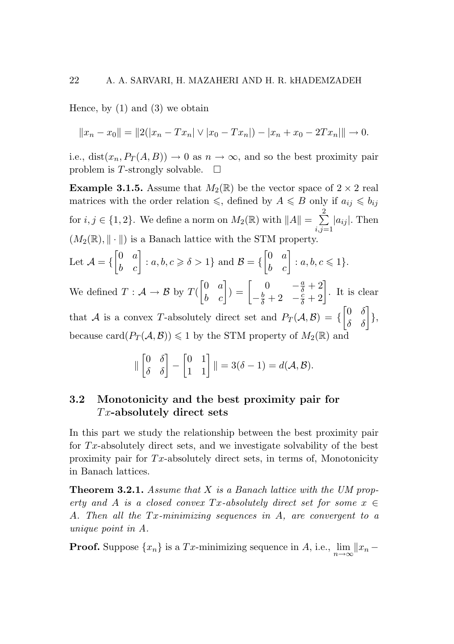Hence, by  $(1)$  and  $(3)$  we obtain

$$
||x_n - x_0|| = ||2(|x_n - Tx_n|) \vee |x_0 - Tx_n|) - |x_n + x_0 - 2Tx_n|| \to 0.
$$

i.e., dist $(x_n, P_T(A, B)) \to 0$  as  $n \to \infty$ , and so the best proximity pair problem is *T*-strongly solvable.  $\square$ 

**Example 3.1.5.** Assume that  $M_2(\mathbb{R})$  be the vector space of  $2 \times 2$  real matrices with the order relation  $\leq$ , defined by  $A \leq B$  only if  $a_{ij} \leq b_{ij}$ for  $i, j \in \{1, 2\}$ . We define a norm on  $M_2(\mathbb{R})$  with  $||A|| = \sum_{i=1}^{2}$  $\sum_{i,j=1}^{\infty} |a_{ij}|$ . Then  $(M_2(\mathbb{R}), \|\cdot\|)$  is a Banach lattice with the STM property. Let  $\mathcal{A} = \{$  $\begin{bmatrix} 0 & a \\ b & c \end{bmatrix}$ :  $a, b, c \ge \delta > 1$ } and  $\mathcal{B} = \{$  $\begin{bmatrix} 0 & a \\ b & c \end{bmatrix} : a, b, c \leq 1$ 

We defined  $T : \mathcal{A} \to \mathcal{B}$  by  $T(\mathcal{A})$  $\begin{bmatrix} 0 & a \\ b & c \end{bmatrix}$  $= \begin{bmatrix} 0 & -\frac{a}{\delta} + 2 \\ -\frac{b}{\delta} + 2 & -\frac{c}{\delta} + 2 \end{bmatrix}$  $\begin{bmatrix} 0 & -\frac{a}{\delta} + 2 \\ -\frac{b}{\delta} + 2 & -\frac{c}{\delta} + 2 \end{bmatrix}$ . It is clear

that *A* is a convex *T*-absolutely direct set and  $P_T(A, \mathcal{B}) = \{$  $\begin{bmatrix} 0 & \delta \\ \delta & \delta \end{bmatrix}$ }, because card $(P_T(\mathcal{A}, \mathcal{B})) \leq 1$  by the STM property of  $M_2(\mathbb{R})$  and

$$
\|\begin{bmatrix} 0 & \delta \\ \delta & \delta \end{bmatrix} - \begin{bmatrix} 0 & 1 \\ 1 & 1 \end{bmatrix}\| = 3(\delta - 1) = d(\mathcal{A}, \mathcal{B}).
$$

### 3.2 Monotonicity and the best proximity pair for *T x*-absolutely direct sets

In this part we study the relationship between the best proximity pair for *T x*-absolutely direct sets, and we investigate solvability of the best proximity pair for *T x*-absolutely direct sets, in terms of, Monotonicity in Banach lattices.

Theorem 3.2.1. *Assume that X is a Banach lattice with the UM property and A is a closed convex*  $Tx$ *-absolutely direct set for some*  $x \in$ *A. Then all the T x-minimizing sequences in A, are convergent to a unique point in A.*

**Proof.** Suppose  $\{x_n\}$  is a *Tx*-minimizing sequence in *A*, i.e.,  $\lim_{n\to\infty} ||x_n -$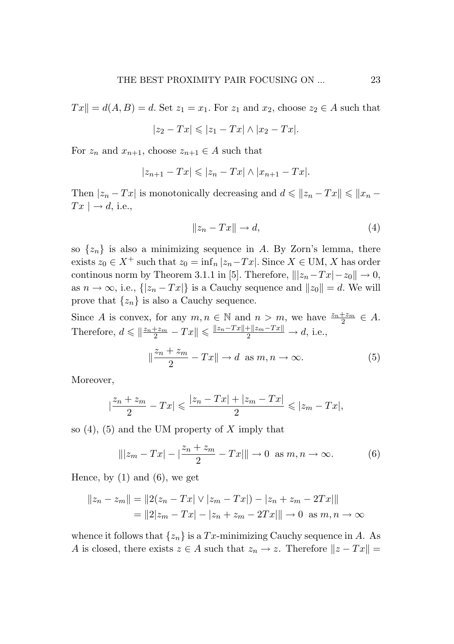$T x \parallel d(A, B) = d$ . Set  $z_1 = x_1$ . For  $z_1$  and  $x_2$ , choose  $z_2 \in A$  such that

$$
|z_2-Tx| \leqslant |z_1-Tx| \wedge |x_2-Tx|.
$$

For  $z_n$  and  $x_{n+1}$ , choose  $z_{n+1} \in A$  such that

$$
|z_{n+1}-Tx| \leqslant |z_n-Tx| \wedge |x_{n+1}-Tx|.
$$

Then  $|z_n - Tx|$  is monotonically decreasing and  $d \leq ||z_n - Tx|| \leq ||x_n - x||$  $Tx \rightharpoonup d$ , i.e.,

$$
||z_n - Tx|| \to d,\tag{4}
$$

so  $\{z_n\}$  is also a minimizing sequence in *A*. By Zorn's lemma, there exists  $z_0$  ∈  $X^+$  such that  $z_0 = \inf_n |z_n - Tx|$ . Since  $X \in \text{UM}, X$  has order continous norm by Theorem 3.1.1 in [5]. Therefore,  $||z_n - Tx| - z_0 || \rightarrow 0$ , as  $n \to \infty$ , i.e.,  $\{|z_n - Tx|\}$  is a Cauchy sequence and  $||z_0|| = d$ . We will prove that  $\{z_n\}$  is also a Cauchy sequence.

Since *A* is convex, for any  $m, n \in \mathbb{N}$  and  $n > m$ , we have  $\frac{z_n + z_m}{2} \in A$ . Therefore,  $d \leq \left\|\frac{z_n + z_m}{2} - Tx\right\| \leq \frac{\|z_n - Tx\| + \|z_m - Tx\|}{2} \to d$ , i.e.,

$$
\|\frac{z_n + z_m}{2} - Tx\| \to d \text{ as } m, n \to \infty.
$$
 (5)

Moreover,

$$
\left|\frac{z_n+z_m}{2}-Tx\right|\leqslant \frac{|z_n-Tx|+|z_m-Tx|}{2}\leqslant |z_m-Tx|,
$$

so (4), (5) and the UM property of *X* imply that

$$
\| |z_m - Tx| - |\frac{z_n + z_m}{2} - Tx| \| \to 0 \text{ as } m, n \to \infty.
$$
 (6)

Hence, by  $(1)$  and  $(6)$ , we get

$$
||z_n - z_m|| = ||2(z_n - Tx| \vee |z_m - Tx|) - |z_n + z_m - 2Tx||
$$
  
= ||2|z\_m - Tx| - |z\_n + z\_m - 2Tx|| \to 0 \text{ as } m, n \to \infty

whence it follows that  $\{z_n\}$  is a  $Tx$ -minimizing Cauchy sequence in *A*. As *A* is closed, there exists  $z \in A$  such that  $z_n \to z$ . Therefore  $||z - Tx|| =$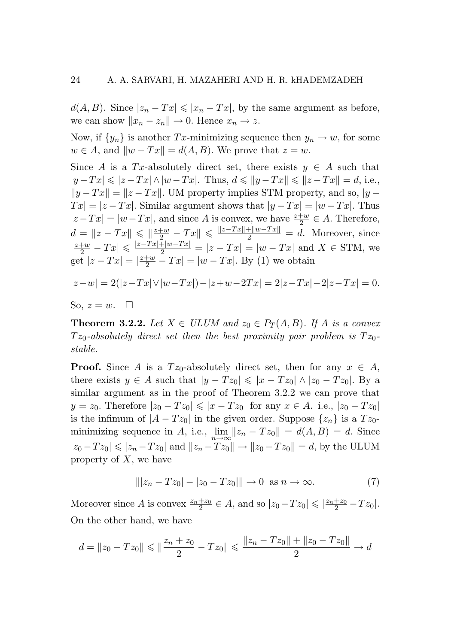$d(A, B)$ . Since  $|z_n - Tx| \leq |x_n - Tx|$ , by the same argument as before, we can show  $||x_n - z_n|| \to 0$ . Hence  $x_n \to z$ .

Now, if  $\{y_n\}$  is another *Tx*-minimizing sequence then  $y_n \to w$ , for some  $w \in A$ , and  $\|w - Tx\| = d(A, B)$ . We prove that  $z = w$ .

Since *A* is a *Tx*-absolutely direct set, there exists  $y \in A$  such that *|y* − *Tx*|  $\le$   $|z - Tx|$   $\wedge$   $|w - Tx|$ . Thus,  $d \le$   $||y - Tx|| \le$   $||z - Tx|| = d$ , i.e.,  $||y - Tx|| = ||z - Tx||$ . UM property implies STM property, and so,  $|y - x||$  $Tx = |z - Tx|$ . Similar argument shows that  $|y - Tx| = |w - Tx|$ . Thus  $|z - Tx| = |w - Tx|$ , and since *A* is convex, we have  $\frac{z+w}{2} \in A$ . Therefore,  $d = \|z - Tx\| \le \frac{\|z + w\|}{2} - Tx\| \le \frac{\|z - Tx\| + \|w - Tx\|}{2} = d.$  Moreover, since  $|\frac{z+w}{2} - Tx| \leq \frac{|z-Tx| + |w-Tx|}{2} = |z - Tx| = |w - Tx|$  and  $X \in \text{STM}$ , we get  $|z - Tx| = |\frac{z+w}{2} - Tx| = |w - Tx|$ . By (1) we obtain

$$
|z-w| = 2(|z-Tx| \vee |w-Tx|) - |z+w-2Tx| = 2|z-Tx| - 2|z-Tx| = 0.
$$

So, 
$$
z = w
$$
.  $\Box$ 

**Theorem 3.2.2.** Let  $X \in ULUM$  and  $z_0 \in P_T(A, B)$ . If A is a convex  $Tz_0$ -absolutely direct set then the best proximity pair problem is  $Tz_0$ *stable.*

**Proof.** Since *A* is a  $Tz_0$ -absolutely direct set, then for any  $x \in A$ , there exists  $y \in A$  such that  $|y - T z_0| \leq |x - T z_0| \wedge |z_0 - T z_0|$ . By a similar argument as in the proof of Theorem 3.2.2 we can prove that *y* = *z*<sub>0</sub>. Therefore  $|z_0 - Tz_0| \le |x - Tz_0|$  for any  $x \in A$ . i.e.,  $|z_0 - Tz_0|$ is the infimum of  $|A - Tz_0|$  in the given order. Suppose  $\{z_n\}$  is a  $Tz_0$ minimizing sequence in *A*, i.e.,  $\lim_{n\to\infty} ||z_n - Tz_0|| = d(A, B) = d$ . Since  $|z_0 - Tz_0|$  ≤  $|z_n - Tz_0|$  and  $||z_n - Tz_0||$  →  $||z_0 - Tz_0|| = d$ , by the ULUM property of *X*, we have

$$
\| |z_n - Tz_0| - |z_0 - Tz_0| \| \to 0 \text{ as } n \to \infty.
$$
 (7)

Moreover since *A* is convex  $\frac{z_n+z_0}{2} \in A$ , and so  $|z_0-Tz_0| \leqslant \frac{|z_n+z_0}{2}-Tz_0|$ . On the other hand, we have

$$
d = \|z_0 - Tz_0\| \le \|\frac{z_n + z_0}{2} - Tz_0\| \le \frac{\|z_n - Tz_0\| + \|z_0 - Tz_0\|}{2} \to d
$$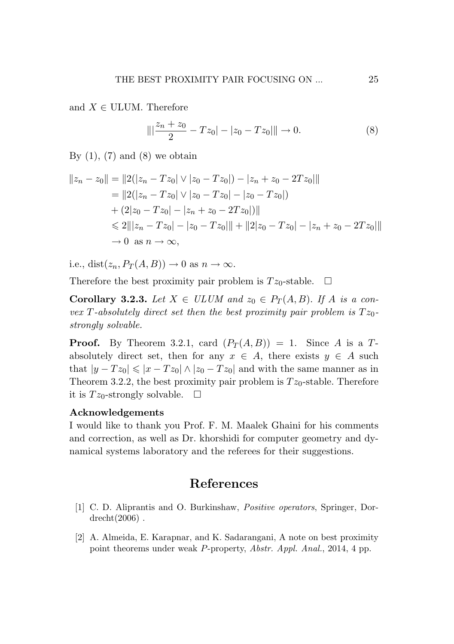and  $X \in \text{ULUM}$ . Therefore

$$
\|\left|\frac{z_n + z_0}{2} - Tz_0\right| - |z_0 - Tz_0|\|\to 0.
$$
 (8)

By  $(1)$ ,  $(7)$  and  $(8)$  we obtain

$$
||z_n - z_0|| = ||2(|z_n - Tz_0|) \vee |z_0 - Tz_0|) - |z_n + z_0 - 2Tz_0||
$$
  
\n
$$
= ||2(|z_n - Tz_0| \vee |z_0 - Tz_0| - |z_0 - Tz_0|)
$$
  
\n
$$
+ (2|z_0 - Tz_0| - |z_n + z_0 - 2Tz_0|) ||
$$
  
\n
$$
\leq 2||z_n - Tz_0| - |z_0 - Tz_0|| + ||2|z_0 - Tz_0| - |z_n + z_0 - 2Tz_0||
$$
  
\n
$$
\to 0 \text{ as } n \to \infty,
$$

i.e., dist $(z_n, P_T(A, B)) \to 0$  as  $n \to \infty$ .

Therefore the best proximity pair problem is  $Tz_0$ -stable.  $\Box$ 

**Corollary 3.2.3.** Let  $X \in ULUM$  and  $z_0 \in P_T(A, B)$ . If A is a con*vex T*-absolutely direct set then the best proximity pair problem is  $Tz_0$ *strongly solvable. strongly solvable.*

**Proof.** By Theorem 3.2.1, card  $(P_T(A, B)) = 1$ . Since *A* is a *T*absolutely direct set, then for any  $x \in A$ , there exists  $y \in A$  such that  $|y - Tz_0| \le |x - Tz_0| \wedge |z_0 - Tz_0|$  and with the same manner as in Theorem 3.2.2, the best proximity pair problem is  $Tz_0$ -stable. Therefore it is  $Tz_0$ -strongly solvable.  $\Box$ 

### Acknowledgements Acknowledgements

I would like to thank you Prof. F. M. Maalek Ghaini for his comments I would like to thank you Prof. F. M. Maalek Ghaini for his comments and correction, as well as Dr. khorshidi for computer geometry and dynamical systems laboratory and the referees for their suggestions. namical systems laboratory and the referees for their suggestions.

# References References

- [1] C. D. Aliprantis and O. Burkinshaw, *Positive operators*, Springer, Dor-[1] C. D. Aliprantis and O. Burkinshaw, *Positive operators*, Springer, Dordrecht(2006) . drecht(2006) .
- [2] A. Almeida, E. Karapnar, and K. Sadarangani, A note on best proximity [2] A. Almeida, E. Karapnar, and K. Sadarangani, A note on best proximity point theorems under weak *P*-property, *Abstr. Appl. Anal.*, 2014, 4 pp.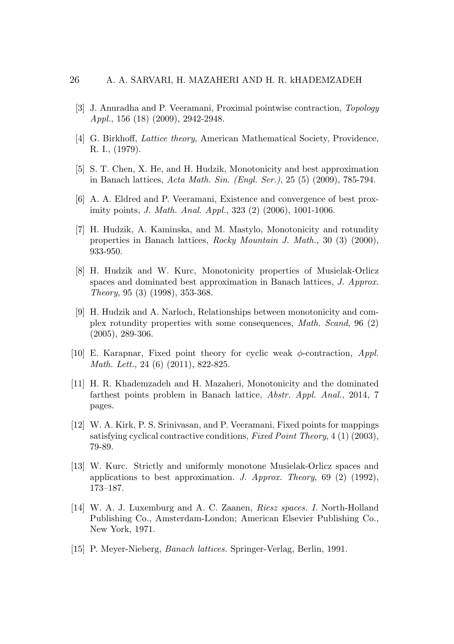- [3] J. Anuradha and P. Veeramani, Proximal pointwise contraction, *Topology Appl.*, 156 (18) (2009), 2942-2948.
- [4] G. Birkhoff, *Lattice theory*, American Mathematical Society, Providence, R. I., (1979).
- [5] S. T. Chen, X. He, and H. Hudzik, Monotonicity and best approximation in Banach lattices, *Acta Math. Sin. (Engl. Ser.)*, 25 (5) (2009), 785-794.
- [6] A. A. Eldred and P. Veeramani, Existence and convergence of best proximity points, *J. Math. Anal. Appl.*, 323 (2) (2006), 1001-1006.
- [7] H. Hudzik, A. Kaminska, and M. Mastylo, Monotonicity and rotundity properties in Banach lattices, *Rocky Mountain J. Math.*, 30 (3) (2000), 933-950.
- [8] H. Hudzik and W. Kurc, Monotonicity properties of Musielak-Orlicz spaces and dominated best approximation in Banach lattices, *J. Approx. Theory*, 95 (3) (1998), 353-368.
- [9] H. Hudzik and A. Narloch, Relationships between monotonicity and complex rotundity properties with some consequences, *Math. Scand*, 96 (2) (2005), 289-306.
- [10] E. Karapnar, Fixed point theory for cyclic weak *φ*-contraction, *Appl. Math. Lett.*, 24 (6) (2011), 822-825.
- [11] H. R. Khademzadeh and H. Mazaheri, Monotonicity and the dominated farthest points problem in Banach lattice, *Abstr. Appl. Anal.*, 2014, 7 pages.
- [12] W. A. Kirk, P. S. Srinivasan, and P. Veeramani, Fixed points for mappings satisfying cyclical contractive conditions, *Fixed Point Theory*, 4 (1) (2003), 79-89.
- [13] W. Kurc. Strictly and uniformly monotone Musielak-Orlicz spaces and applications to best approximation. *J. Approx. Theory*, 69 (2) (1992), 173–187.
- [14] W. A. J. Luxemburg and A. C. Zaanen, *Riesz spaces. I.* North-Holland Publishing Co., Amsterdam-London; American Elsevier Publishing Co., New York, 1971.
- [15] P. Meyer-Nieberg, *Banach lattices.* Springer-Verlag, Berlin, 1991.